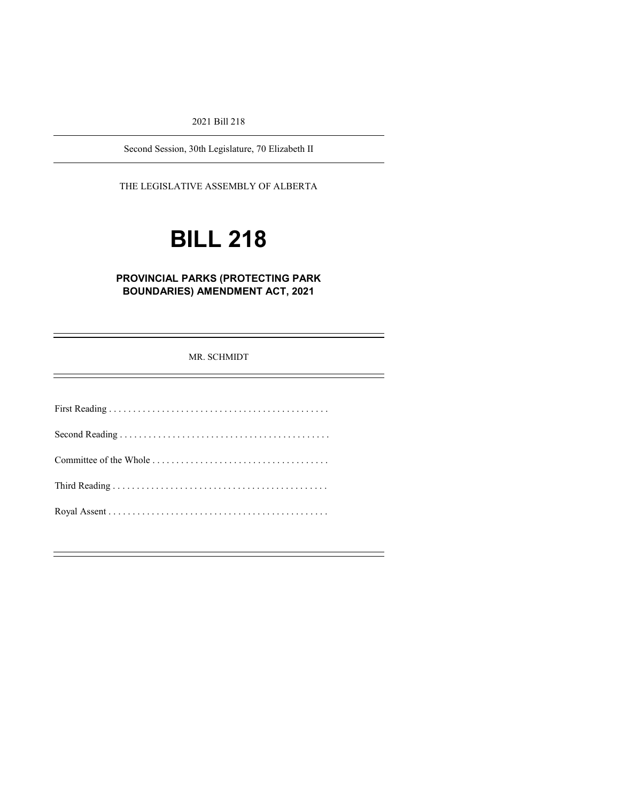2021 Bill 218

Second Session, 30th Legislature, 70 Elizabeth II

THE LEGISLATIVE ASSEMBLY OF ALBERTA

# **BILL 218**

### **PROVINCIAL PARKS (PROTECTING PARK BOUNDARIES) AMENDMENT ACT, 2021**

MR. SCHMIDT

First Reading . . . . . . . . . . . . . . . . . . . . . . . . . . . . . . . . . . . . . . . . . . . . . . Second Reading . . . . . . . . . . . . . . . . . . . . . . . . . . . . . . . . . . . . . . . . . . . . Committee of the Whole . . . . . . . . . . . . . . . . . . . . . . . . . . . . . . . . . . . . . Third Reading . . . . . . . . . . . . . . . . . . . . . . . . . . . . . . . . . . . . . . . . . . . . . Royal Assent . . . . . . . . . . . . . . . . . . . . . . . . . . . . . . . . . . . . . . . . . . . . . .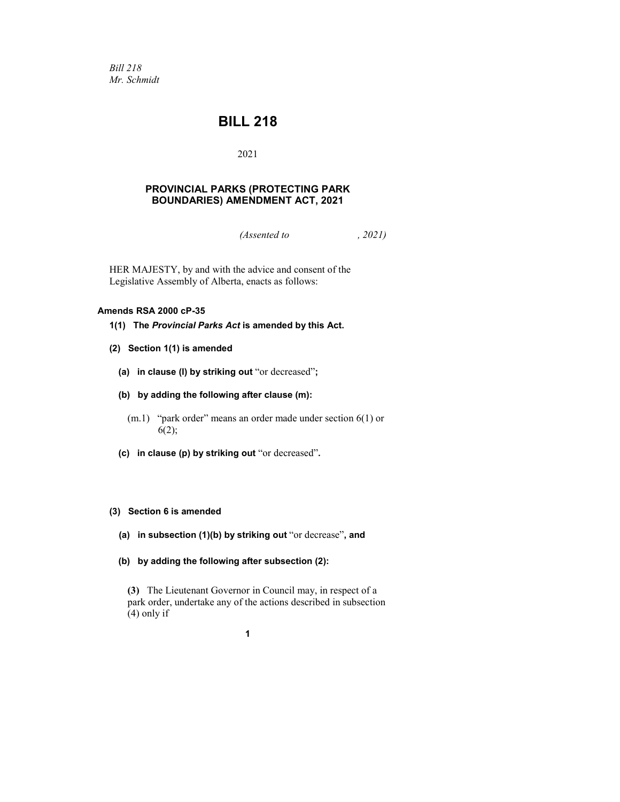*Bill 218 Mr. Schmidt*

# **BILL 218**

#### 2021

#### **PROVINCIAL PARKS (PROTECTING PARK BOUNDARIES) AMENDMENT ACT, 2021**

*(Assented to , 2021)*

HER MAJESTY, by and with the advice and consent of the Legislative Assembly of Alberta, enacts as follows:

#### **Amends RSA 2000 cP-35**

- **1(1) The** *Provincial Parks Act* **is amended by this Act.**
- **(2) Section 1(1) is amended**
	- **(a) in clause (l) by striking out** "or decreased"**;**
	- **(b) by adding the following after clause (m):**
		- (m.1) "park order" means an order made under section 6(1) or 6(2);
	- **(c) in clause (p) by striking out** "or decreased"**.**

#### **(3) Section 6 is amended**

- **(a) in subsection (1)(b) by striking out** "or decrease"**, and**
- **(b) by adding the following after subsection (2):**

**(3)** The Lieutenant Governor in Council may, in respect of a park order, undertake any of the actions described in subsection (4) only if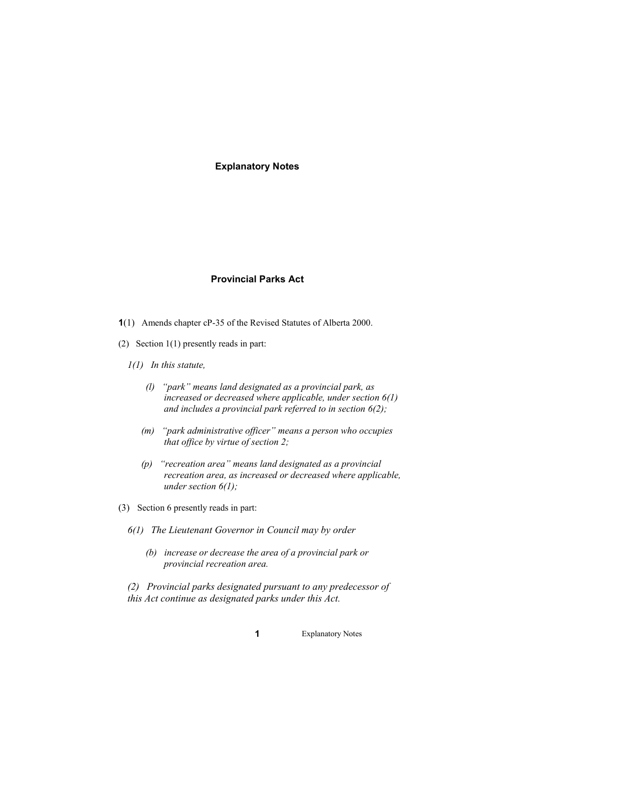#### **Explanatory Notes**

#### **Provincial Parks Act**

- **1**(1) Amends chapter cP-35 of the Revised Statutes of Alberta 2000.
- (2) Section 1(1) presently reads in part:
	- *1(1) In this statute,*
		- *(l) "park" means land designated as a provincial park, as increased or decreased where applicable, under section 6(1) and includes a provincial park referred to in section 6(2);*
		- *(m) "park administrative officer" means a person who occupies that office by virtue of section 2;*
		- *(p) "recreation area" means land designated as a provincial recreation area, as increased or decreased where applicable, under section 6(1);*
- (3) Section 6 presently reads in part:
	- *6(1) The Lieutenant Governor in Council may by order*
		- *(b) increase or decrease the area of a provincial park or provincial recreation area.*

*(2) Provincial parks designated pursuant to any predecessor of this Act continue as designated parks under this Act.*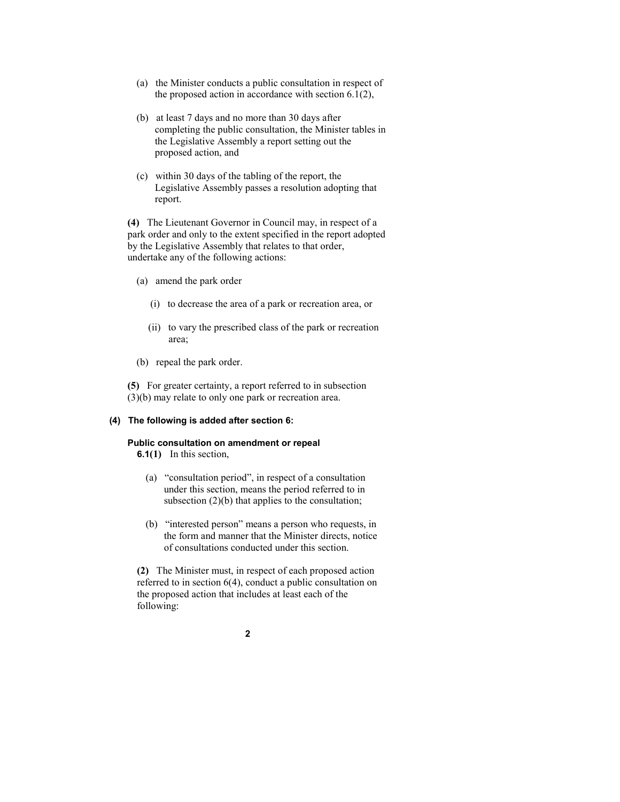- (a) the Minister conducts a public consultation in respect of the proposed action in accordance with section 6.1(2),
- (b) at least 7 days and no more than 30 days after completing the public consultation, the Minister tables in the Legislative Assembly a report setting out the proposed action, and
- (c) within 30 days of the tabling of the report, the Legislative Assembly passes a resolution adopting that report.

**(4)** The Lieutenant Governor in Council may, in respect of a park order and only to the extent specified in the report adopted by the Legislative Assembly that relates to that order, undertake any of the following actions:

- (a) amend the park order
	- (i) to decrease the area of a park or recreation area, or
	- (ii) to vary the prescribed class of the park or recreation area;
- (b) repeal the park order.

**(5)** For greater certainty, a report referred to in subsection (3)(b) may relate to only one park or recreation area.

#### **(4) The following is added after section 6:**

#### **Public consultation on amendment or repeal 6.1(1)** In this section,

- (a) "consultation period", in respect of a consultation under this section, means the period referred to in subsection  $(2)(b)$  that applies to the consultation;
- (b) "interested person" means a person who requests, in the form and manner that the Minister directs, notice of consultations conducted under this section.

**(2)** The Minister must, in respect of each proposed action referred to in section 6(4), conduct a public consultation on the proposed action that includes at least each of the following: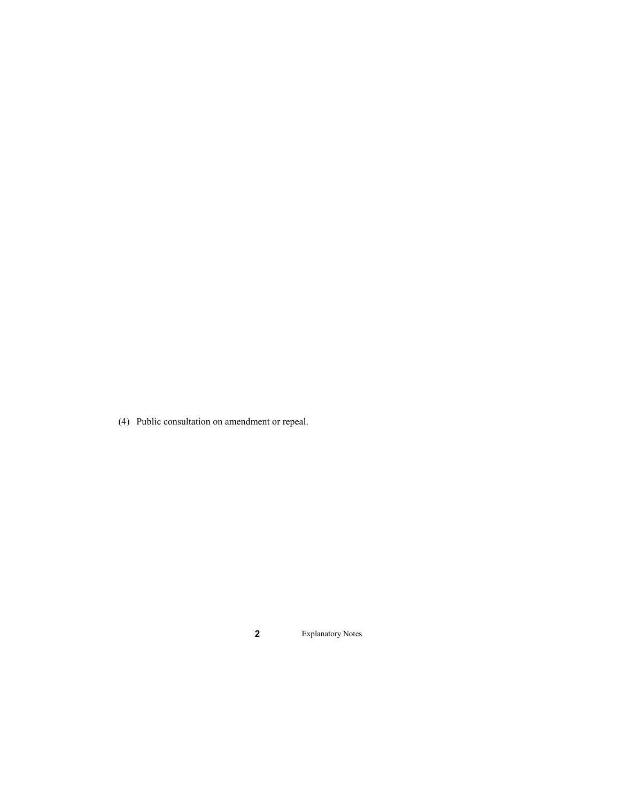(4) Public consultation on amendment or repeal.

**2** Explanatory Notes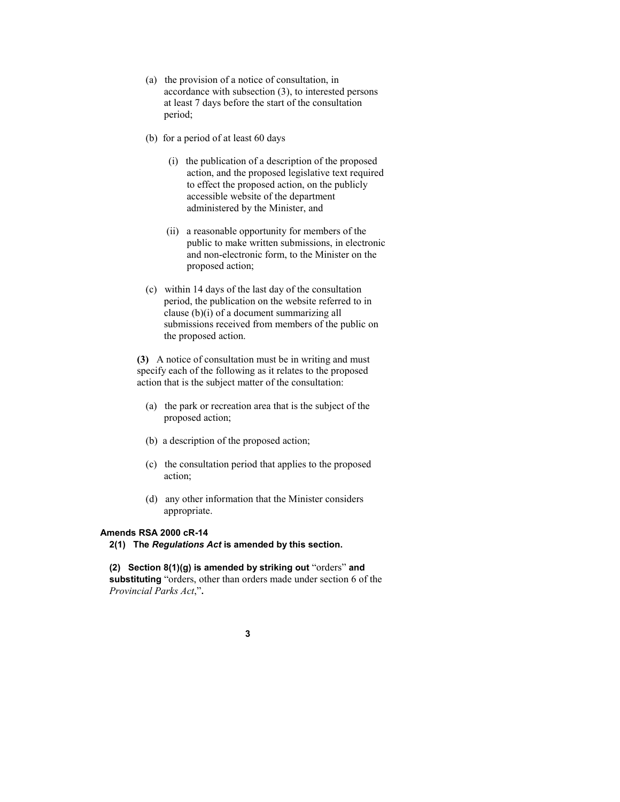- (a) the provision of a notice of consultation, in accordance with subsection (3), to interested persons at least 7 days before the start of the consultation period;
- (b) for a period of at least 60 days
	- (i) the publication of a description of the proposed action, and the proposed legislative text required to effect the proposed action, on the publicly accessible website of the department administered by the Minister, and
	- (ii) a reasonable opportunity for members of the public to make written submissions, in electronic and non-electronic form, to the Minister on the proposed action;
- (c) within 14 days of the last day of the consultation period, the publication on the website referred to in clause (b)(i) of a document summarizing all submissions received from members of the public on the proposed action.

**(3)** A notice of consultation must be in writing and must specify each of the following as it relates to the proposed action that is the subject matter of the consultation:

- (a) the park or recreation area that is the subject of the proposed action;
- (b) a description of the proposed action;
- (c) the consultation period that applies to the proposed action;
- (d) any other information that the Minister considers appropriate.

#### **Amends RSA 2000 cR-14**

**2(1) The** *Regulations Act* **is amended by this section.**

**(2) Section 8(1)(g) is amended by striking out** "orders" **and substituting** "orders, other than orders made under section 6 of the *Provincial Parks Act*,"**.**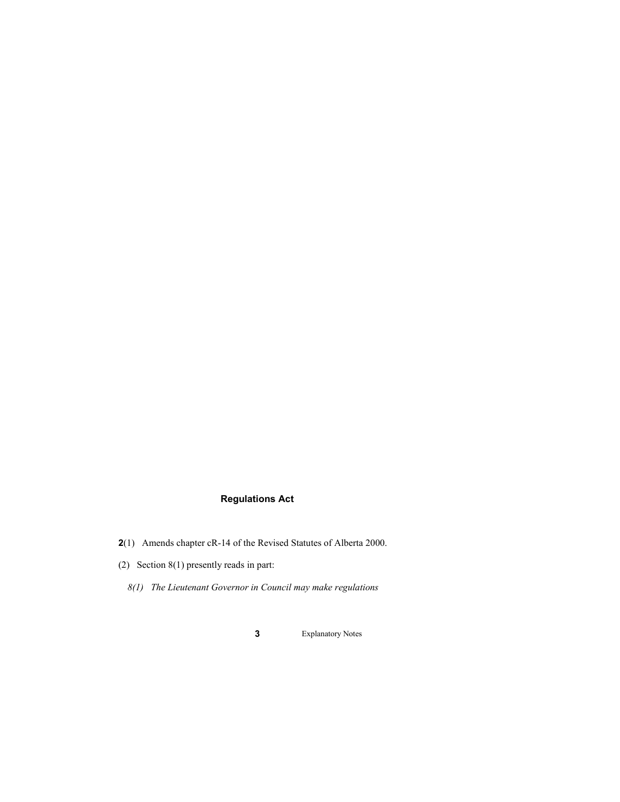## **Regulations Act**

- **2**(1) Amends chapter cR-14 of the Revised Statutes of Alberta 2000.
- (2) Section 8(1) presently reads in part:
	- *8(1) The Lieutenant Governor in Council may make regulations*

**3** Explanatory Notes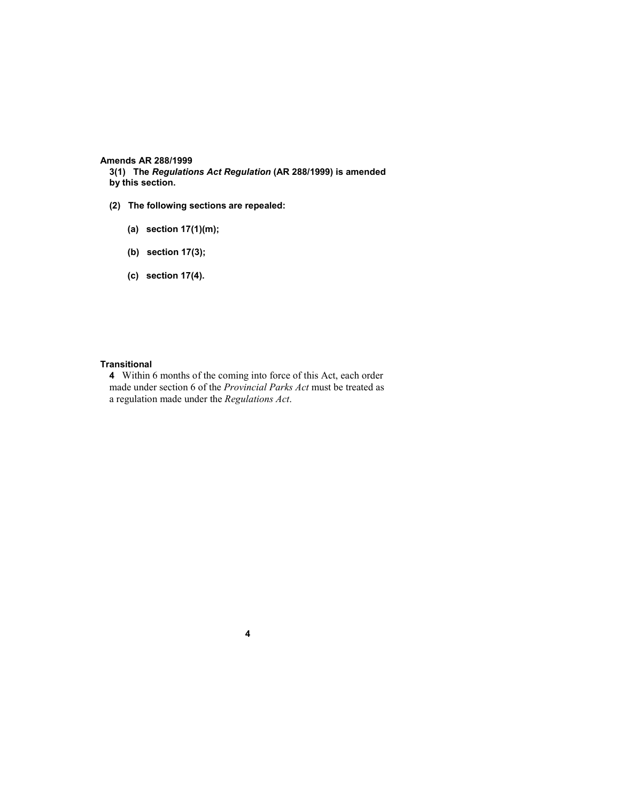#### **Amends AR 288/1999**

**3(1) The** *Regulations Act Regulation* **(AR 288/1999) is amended by this section.**

- **(2) The following sections are repealed:**
	- **(a) section 17(1)(m);**
	- **(b) section 17(3);**
	- **(c) section 17(4).**

#### **Transitional**

**4** Within 6 months of the coming into force of this Act, each order made under section 6 of the *Provincial Parks Act* must be treated as a regulation made under the *Regulations Act*.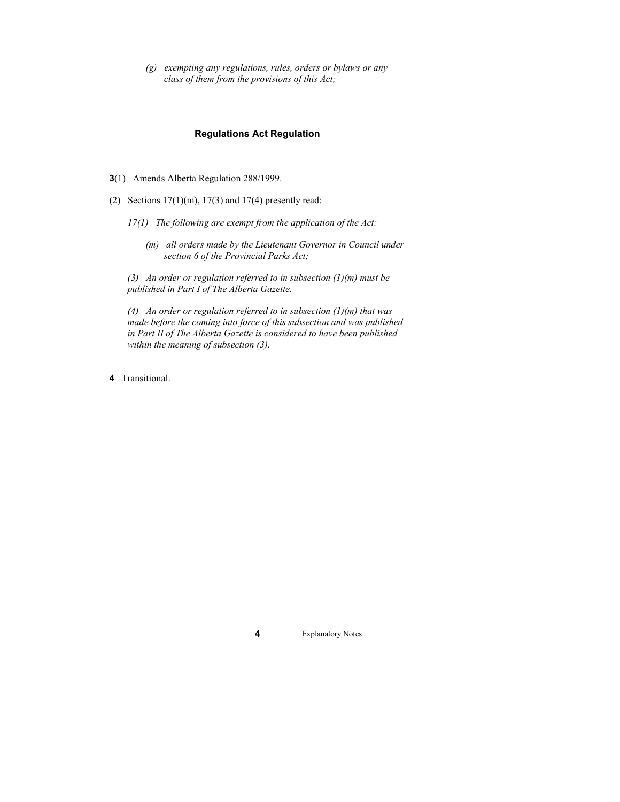*(g) exempting any regulations, rules, orders or bylaws or any class of them from the provisions of this Act;*

#### **Regulations Act Regulation**

- **3**(1) Amends Alberta Regulation 288/1999.
- (2) Sections  $17(1)(m)$ ,  $17(3)$  and  $17(4)$  presently read:
	- *17(1) The following are exempt from the application of the Act:*
		- *(m) all orders made by the Lieutenant Governor in Council under section 6 of the Provincial Parks Act;*

*(3) An order or regulation referred to in subsection (1)(m) must be published in Part I of The Alberta Gazette.*

*(4) An order or regulation referred to in subsection (1)(m) that was made before the coming into force of this subsection and was published in Part II of The Alberta Gazette is considered to have been published within the meaning of subsection (3).*

**4** Transitional.